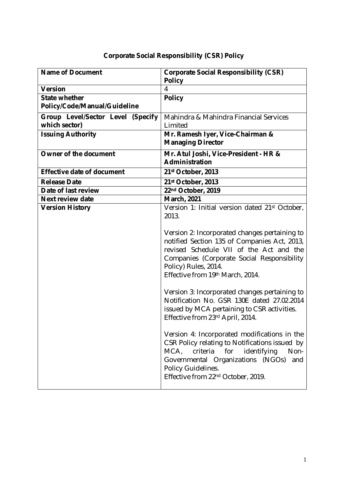## **Corporate Social Responsibility (CSR) Policy**

| <b>Name of Document</b>           | <b>Corporate Social Responsibility (CSR)</b>                                                                                                                                                                                                                         |
|-----------------------------------|----------------------------------------------------------------------------------------------------------------------------------------------------------------------------------------------------------------------------------------------------------------------|
|                                   | <b>Policy</b>                                                                                                                                                                                                                                                        |
| <b>Version</b>                    | 4                                                                                                                                                                                                                                                                    |
| <b>State whether</b>              | <b>Policy</b>                                                                                                                                                                                                                                                        |
| Policy/Code/Manual/Guideline      |                                                                                                                                                                                                                                                                      |
| Group Level/Sector Level (Specify | Mahindra & Mahindra Financial Services                                                                                                                                                                                                                               |
| which sector)                     | Limited                                                                                                                                                                                                                                                              |
| <b>Issuing Authority</b>          | Mr. Ramesh Iyer, Vice-Chairman &                                                                                                                                                                                                                                     |
|                                   | <b>Managing Director</b>                                                                                                                                                                                                                                             |
| <b>Owner of the document</b>      | Mr. Atul Joshi, Vice-President - HR &                                                                                                                                                                                                                                |
|                                   | <b>Administration</b>                                                                                                                                                                                                                                                |
| <b>Effective date of document</b> | 21st October, 2013                                                                                                                                                                                                                                                   |
| <b>Release Date</b>               | 21st October, 2013                                                                                                                                                                                                                                                   |
| Date of last review               | 22nd October, 2019                                                                                                                                                                                                                                                   |
| <b>Next review date</b>           | <b>March, 2021</b>                                                                                                                                                                                                                                                   |
| <b>Version History</b>            | Version 1: Initial version dated 21st October,                                                                                                                                                                                                                       |
|                                   | 2013.                                                                                                                                                                                                                                                                |
|                                   | Version 2: Incorporated changes pertaining to<br>notified Section 135 of Companies Act, 2013,<br>revised Schedule VII of the Act and the<br>Companies (Corporate Social Responsibility<br>Policy) Rules, 2014.<br>Effective from 19th March, 2014.                   |
|                                   | Version 3: Incorporated changes pertaining to<br>Notification No. GSR 130E dated 27.02.2014<br>issued by MCA pertaining to CSR activities.<br>Effective from 23rd April, 2014.                                                                                       |
|                                   | Version 4: Incorporated modifications in the<br>CSR Policy relating to Notifications issued by<br>criteria<br>for<br>identifying<br>Non-<br>MCA,<br>Governmental Organizations (NGOs)<br>and<br>Policy Guidelines.<br>Effective from 22 <sup>nd</sup> October, 2019. |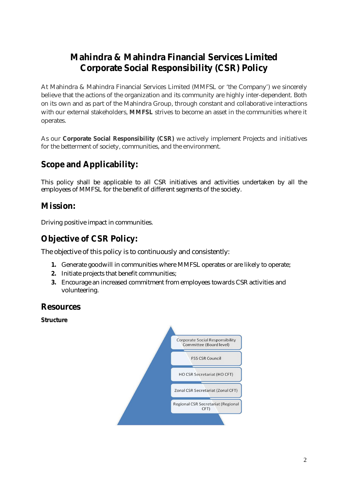# **Mahindra & Mahindra Financial Services Limited Corporate Social Responsibility (CSR) Policy**

At Mahindra & Mahindra Financial Services Limited (MMFSL or 'the Company') we sincerely believe that the actions of the organization and its community are highly inter-dependent. Both on its own and as part of the Mahindra Group, through constant and collaborative interactions with our external stakeholders, **MMFSL** strives to become an asset in the communities where it operates.

As our **Corporate Social Responsibility (CSR)** we actively implement Projects and initiatives for the betterment of society, communities, and the environment.

## **Scope and Applicability:**

This policy shall be applicable to all CSR initiatives and activities undertaken by all the employees of MMFSL for the benefit of different segments of the society.

### **Mission:**

Driving positive impact in communities.

### **Objective of CSR Policy:**

The objective of this policy is to continuously and consistently:

- **1.** Generate goodwill in communities where MMFSL operates or are likely to operate;
- **2.** Initiate projects that benefit communities;
- **3.** Encourage an increased commitment from employees towards CSR activities and volunteering.

### **Resources**

**Structure**

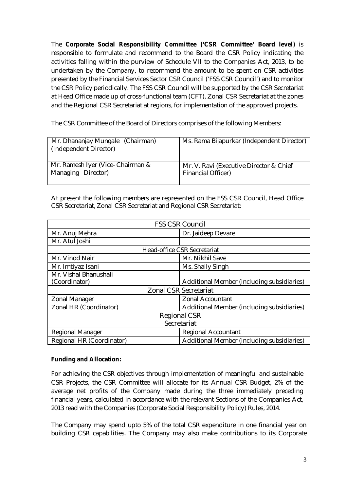The **Corporate Social Responsibility Committee ('CSR Committee' Board level)** is responsible to formulate and recommend to the Board the CSR Policy indicating the activities falling within the purview of Schedule VII to the Companies Act, 2013, to be undertaken by the Company, to recommend the amount to be spent on CSR activities presented by the Financial Services Sector CSR Council ('FSS CSR Council') and to monitor the CSR Policy periodically. The FSS CSR Council will be supported by the CSR Secretariat at Head Office made up of cross-functional team (CFT), Zonal CSR Secretariat at the zones and the Regional CSR Secretariat at regions, for implementation of the approved projects.

The CSR Committee of the Board of Directors comprises of the following Members:

| Mr. Dhananjay Mungale (Chairman)<br>(Independent Director) | Ms. Rama Bijapurkar (Independent Director) |
|------------------------------------------------------------|--------------------------------------------|
| Mr. Ramesh Iyer (Vice- Chairman &                          | Mr. V. Ravi (Executive Director & Chief    |
| Managing Director)                                         | <b>Financial Officer)</b>                  |

At present the following members are represented on the FSS CSR Council, Head Office CSR Secretariat, Zonal CSR Secretariat and Regional CSR Secretariat:

| <b>FSS CSR Council</b>       |                                            |
|------------------------------|--------------------------------------------|
| Mr. Anuj Mehra               | Dr. Jaideep Devare                         |
| Mr. Atul Joshi               |                                            |
| Head-office CSR Secretariat  |                                            |
| Mr. Vinod Nair               | Mr. Nikhil Save                            |
| Mr. Imtiyaz Isani            | Ms. Shaily Singh                           |
| Mr. Vishal Bhanushali        |                                            |
| (Coordinator)                | Additional Member (including subsidiaries) |
| <b>Zonal CSR Secretariat</b> |                                            |
| Zonal Manager                | <b>Zonal Accountant</b>                    |
| Zonal HR (Coordinator)       | Additional Member (including subsidiaries) |
| <b>Regional CSR</b>          |                                            |
| Secretariat                  |                                            |
| <b>Regional Manager</b>      | Regional Accountant                        |
| Regional HR (Coordinator)    | Additional Member (including subsidiaries) |

### **Funding and Allocation:**

For achieving the CSR objectives through implementation of meaningful and sustainable CSR Projects, the CSR Committee will allocate for its Annual CSR Budget, 2% of the average net profits of the Company made during the three immediately preceding financial years, calculated in accordance with the relevant Sections of the Companies Act, 2013 read with the Companies (Corporate Social Responsibility Policy) Rules, 2014*.*

The Company may spend upto 5% of the total CSR expenditure in one financial year on building CSR capabilities. The Company may also make contributions to its Corporate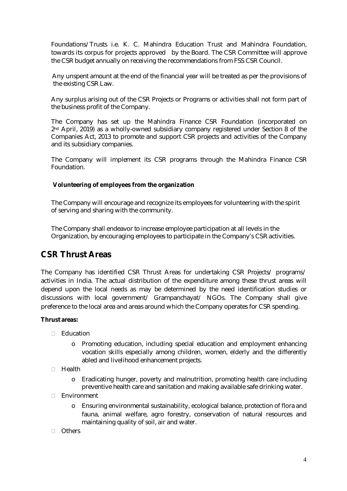Foundations/Trusts i.e. K. C. Mahindra Education Trust and Mahindra Foundation, towards its corpus for projects approved by the Board. The CSR Committee will approve the CSR budget annually on receiving the recommendations from FSS CSR Council.

 Any unspent amount at the end of the financial year will be treated as per the provisions of the existing CSR Law.

Any surplus arising out of the CSR Projects or Programs or activities shall not form part of the business profit of the Company.

The Company has set up the Mahindra Finance CSR Foundation (incorporated on 2nd April, 2019) as a wholly-owned subsidiary company registered under Section 8 of the Companies Act, 2013 to promote and support CSR projects and activities of the Company and its subsidiary companies.

The Company will implement its CSR programs through the Mahindra Finance CSR Foundation.

#### **Volunteering of employees from the organization**

The Company will encourage and recognize its employees for volunteering with the spirit of serving and sharing with the community.

The Company shall endeavor to increase employee participation at all levels in the Organization, by encouraging employees to participate in the Company's CSR activities.

### **CSR Thrust Areas**

The Company has identified CSR Thrust Areas for undertaking CSR Projects/ programs/ activities in India. The actual distribution of the expenditure among these thrust areas will depend upon the local needs as may be determined by the need identification studies or discussions with local government/ Grampanchayat/ NGOs. The Company shall give preference to the local area and areas around which the Company operates for CSR spending.

#### **Thrust areas:**

- □ Education
	- o Promoting education, including special education and employment enhancing vocation skills especially among children, women, elderly and the differently abled and livelihood enhancement projects.
- $\Box$  Health
	- o Eradicating hunger, poverty and malnutrition, promoting health care including preventive health care and sanitation and making available safe drinking water.
- Environment
	- o Ensuring environmental sustainability, ecological balance, protection of flora and fauna, animal welfare, agro forestry, conservation of natural resources and maintaining quality of soil, air and water.
- n Others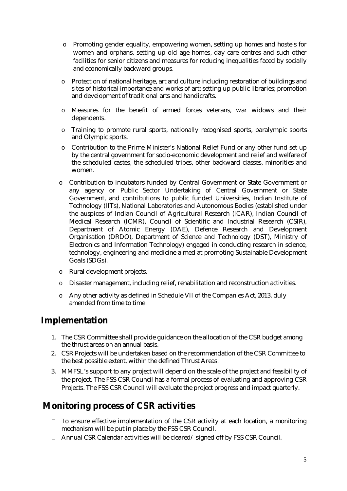- o Promoting gender equality, empowering women, setting up homes and hostels for women and orphans, setting up old age homes, day care centres and such other facilities for senior citizens and measures for reducing inequalities faced by socially and economically backward groups.
- o Protection of national heritage, art and culture including restoration of buildings and sites of historical importance and works of art; setting up public libraries; promotion and development of traditional arts and handicrafts.
- o Measures for the benefit of armed forces veterans, war widows and their dependents.
- o Training to promote rural sports, nationally recognised sports, paralympic sports and Olympic sports.
- o Contribution to the Prime Minister's National Relief Fund or any other fund set up by the central government for socio-economic development and relief and welfare of the scheduled castes, the scheduled tribes, other backward classes, minorities and women.
- o Contribution to incubators funded by Central Government or State Government or any agency or Public Sector Undertaking of Central Government or State Government, and contributions to public funded Universities, Indian Institute of Technology (IITs), National Laboratories and Autonomous Bodies (established under the auspices of Indian Council of Agricultural Research (ICAR), Indian Council of Medical Research (ICMR), Council of Scientific and Industrial Research (CSIR), Department of Atomic Energy (DAE), Defence Research and Development Organisation (DRDO), Department of Science and Technology (DST), Ministry of Electronics and Information Technology) engaged in conducting research in science, technology, engineering and medicine aimed at promoting Sustainable Development Goals (SDGs).
- o Rural development projects.
- o Disaster management, including relief, rehabilitation and reconstruction activities.
- o Any other activity as defined in Schedule VII of the Companies Act, 2013, duly amended from time to time.

### **Implementation**

- 1. The CSR Committee shall provide guidance on the allocation of the CSR budget among the thrust areas on an annual basis.
- 2. CSR Projects will be undertaken based on the recommendation of the CSR Committee to the best possible extent, within the defined Thrust Areas.
- 3. MMFSL's support to any project will depend on the scale of the project and feasibility of the project. The FSS CSR Council has a formal process of evaluating and approving CSR Projects. The FSS CSR Council will evaluate the project progress and impact quarterly.

# **Monitoring process of CSR activities**

- $\Box$  To ensure effective implementation of the CSR activity at each location, a monitoring mechanism will be put in place by the FSS CSR Council.
- □ Annual CSR Calendar activities will be cleared/ signed off by FSS CSR Council.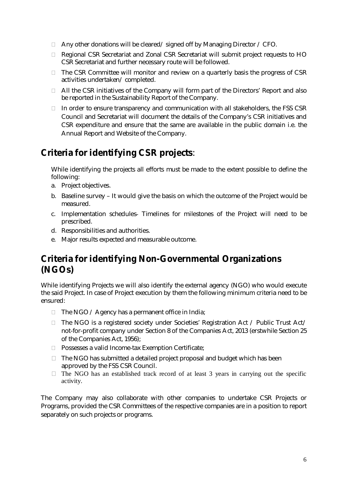- □ Any other donations will be cleared/ signed off by Managing Director / CFO.
- □ Regional CSR Secretariat and Zonal CSR Secretariat will submit project requests to HO CSR Secretariat and further necessary route will be followed.
- $\Box$  The CSR Committee will monitor and review on a quarterly basis the progress of CSR activities undertaken/ completed.
- $\Box$  All the CSR initiatives of the Company will form part of the Directors' Report and also be reported in the Sustainability Report of the Company.
- $\Box$  In order to ensure transparency and communication with all stakeholders, the FSS CSR Council and Secretariat will document the details of the Company's CSR initiatives and CSR expenditure and ensure that the same are available in the public domain i.e. the Annual Report and Website of the Company.

# **Criteria for identifying CSR projects**:

While identifying the projects all efforts must be made to the extent possible to define the following:

- a. Project objectives.
- b. Baseline survey It would give the basis on which the outcome of the Project would be measured.
- c. Implementation schedules‐ Timelines for milestones of the Project will need to be prescribed.
- d. Responsibilities and authorities.
- e. Major results expected and measurable outcome.

# **Criteria for identifying Non-Governmental Organizations (NGOs)**

While identifying Projects we will also identify the external agency (NGO) who would execute the said Project. In case of Project execution by them the following minimum criteria need to be ensured:

- $\Box$  The NGO / Agency has a permanent office in India;
- $\Box$  The NGO is a registered society under Societies' Registration Act / Public Trust Act/ not-for-profit company under Section 8 of the Companies Act, 2013 (erstwhile Section 25 of the Companies Act, 1956);
- □ Possesses a valid Income-tax Exemption Certificate;
- $\Box$  The NGO has submitted a detailed project proposal and budget which has been approved by the FSS CSR Council.
- $\Box$  The NGO has an established track record of at least 3 years in carrying out the specific activity.

The Company may also collaborate with other companies to undertake CSR Projects or Programs, provided the CSR Committees of the respective companies are in a position to report separately on such projects or programs.